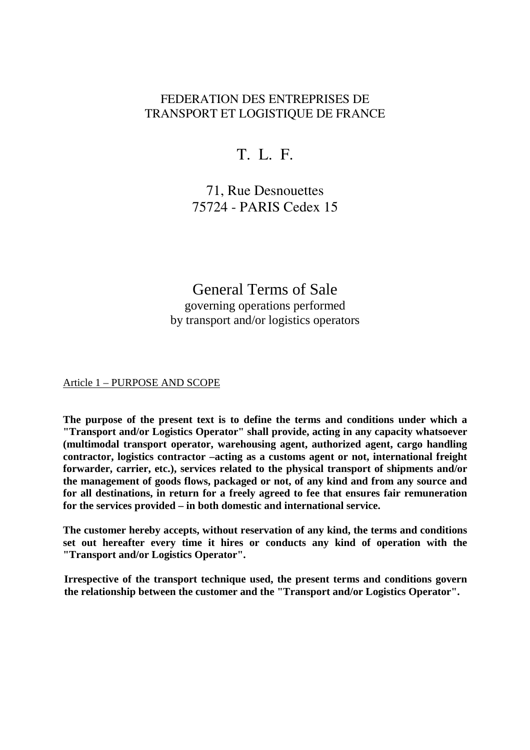## FEDERATION DES ENTREPRISES DE TRANSPORT ET LOGISTIOUE DE FRANCE

# T. L. F.

71, Rue Desnouettes 75724 - PARIS Cedex 15

General Terms of Sale governing operations performed by transport and/or logistics operators

#### Article 1 – PURPOSE AND SCOPE

**The purpose of the present text is to define the terms and conditions under which a "Transport and/or Logistics Operator" shall provide, acting in any capacity whatsoever (multimodal transport operator, warehousing agent, authorized agent, cargo handling contractor, logistics contractor –acting as a customs agent or not, international freight forwarder, carrier, etc.), services related to the physical transport of shipments and/or the management of goods flows, packaged or not, of any kind and from any source and for all destinations, in return for a freely agreed to fee that ensures fair remuneration for the services provided – in both domestic and international service.** 

**The customer hereby accepts, without reservation of any kind, the terms and conditions set out hereafter every time it hires or conducts any kind of operation with the "Transport and/or Logistics Operator".** 

**Irrespective of the transport technique used, the present terms and conditions govern the relationship between the customer and the "Transport and/or Logistics Operator".**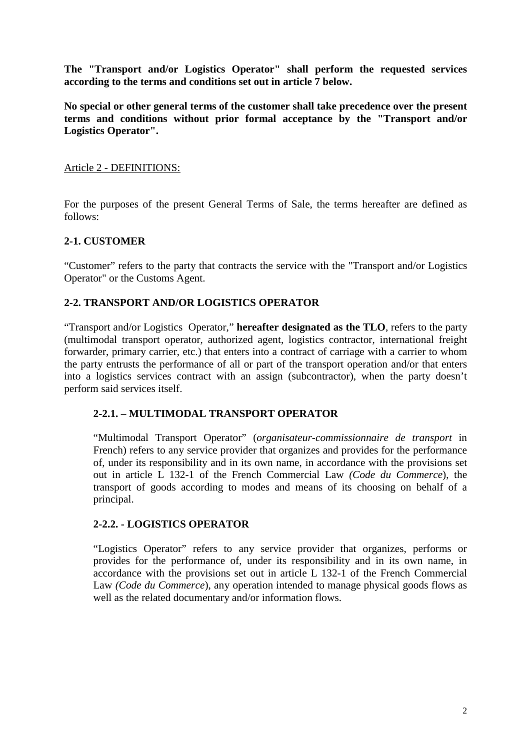**The "Transport and/or Logistics Operator" shall perform the requested services according to the terms and conditions set out in article 7 below.** 

**No special or other general terms of the customer shall take precedence over the present terms and conditions without prior formal acceptance by the "Transport and/or Logistics Operator".** 

### Article 2 - DEFINITIONS:

For the purposes of the present General Terms of Sale, the terms hereafter are defined as follows:

### **2-1. CUSTOMER**

"Customer" refers to the party that contracts the service with the "Transport and/or Logistics Operator" or the Customs Agent.

### **2-2. TRANSPORT AND/OR LOGISTICS OPERATOR**

"Transport and/or Logistics Operator," **hereafter designated as the TLO**, refers to the party (multimodal transport operator, authorized agent, logistics contractor, international freight forwarder, primary carrier, etc.) that enters into a contract of carriage with a carrier to whom the party entrusts the performance of all or part of the transport operation and/or that enters into a logistics services contract with an assign (subcontractor), when the party doesn't perform said services itself.

### **2-2.1. – MULTIMODAL TRANSPORT OPERATOR**

"Multimodal Transport Operator" (*organisateur-commissionnaire de transport* in French) refers to any service provider that organizes and provides for the performance of, under its responsibility and in its own name, in accordance with the provisions set out in article L 132-1 of the French Commercial Law *(Code du Commerce*), the transport of goods according to modes and means of its choosing on behalf of a principal.

### **2-2.2. - LOGISTICS OPERATOR**

"Logistics Operator" refers to any service provider that organizes, performs or provides for the performance of, under its responsibility and in its own name, in accordance with the provisions set out in article L 132-1 of the French Commercial Law *(Code du Commerce*), any operation intended to manage physical goods flows as well as the related documentary and/or information flows.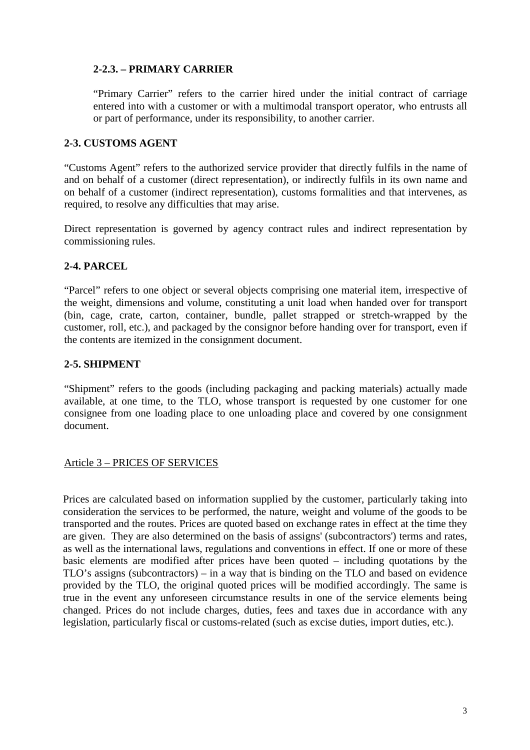## **2-2.3. – PRIMARY CARRIER**

"Primary Carrier" refers to the carrier hired under the initial contract of carriage entered into with a customer or with a multimodal transport operator, who entrusts all or part of performance, under its responsibility, to another carrier.

### **2-3. CUSTOMS AGENT**

"Customs Agent" refers to the authorized service provider that directly fulfils in the name of and on behalf of a customer (direct representation), or indirectly fulfils in its own name and on behalf of a customer (indirect representation), customs formalities and that intervenes, as required, to resolve any difficulties that may arise.

Direct representation is governed by agency contract rules and indirect representation by commissioning rules.

### **2-4. PARCEL**

"Parcel" refers to one object or several objects comprising one material item, irrespective of the weight, dimensions and volume, constituting a unit load when handed over for transport (bin, cage, crate, carton, container, bundle, pallet strapped or stretch-wrapped by the customer, roll, etc.), and packaged by the consignor before handing over for transport, even if the contents are itemized in the consignment document.

## **2-5. SHIPMENT**

"Shipment" refers to the goods (including packaging and packing materials) actually made available, at one time, to the TLO, whose transport is requested by one customer for one consignee from one loading place to one unloading place and covered by one consignment document.

#### Article 3 – PRICES OF SERVICES

Prices are calculated based on information supplied by the customer, particularly taking into consideration the services to be performed, the nature, weight and volume of the goods to be transported and the routes. Prices are quoted based on exchange rates in effect at the time they are given. They are also determined on the basis of assigns' (subcontractors') terms and rates, as well as the international laws, regulations and conventions in effect. If one or more of these basic elements are modified after prices have been quoted – including quotations by the TLO's assigns (subcontractors) – in a way that is binding on the TLO and based on evidence provided by the TLO, the original quoted prices will be modified accordingly. The same is true in the event any unforeseen circumstance results in one of the service elements being changed. Prices do not include charges, duties, fees and taxes due in accordance with any legislation, particularly fiscal or customs-related (such as excise duties, import duties, etc.).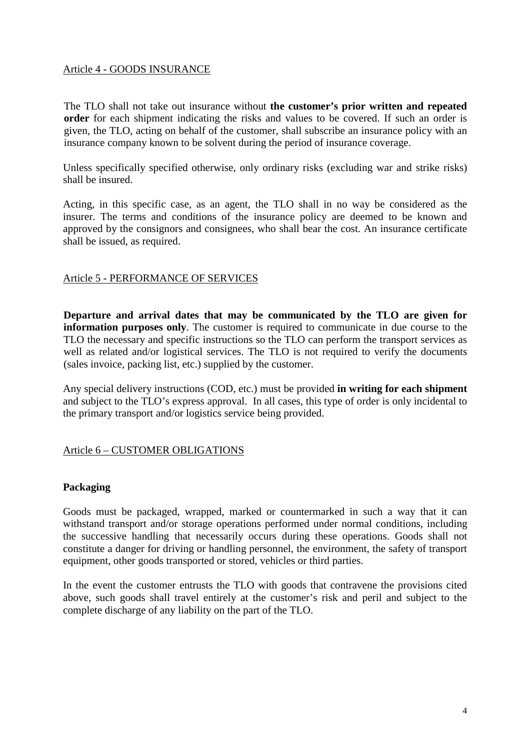#### Article 4 - GOODS INSURANCE

The TLO shall not take out insurance without **the customer's prior written and repeated order** for each shipment indicating the risks and values to be covered. If such an order is given, the TLO, acting on behalf of the customer, shall subscribe an insurance policy with an insurance company known to be solvent during the period of insurance coverage.

Unless specifically specified otherwise, only ordinary risks (excluding war and strike risks) shall be insured.

Acting, in this specific case, as an agent, the TLO shall in no way be considered as the insurer. The terms and conditions of the insurance policy are deemed to be known and approved by the consignors and consignees, who shall bear the cost. An insurance certificate shall be issued, as required.

#### Article 5 - PERFORMANCE OF SERVICES

**Departure and arrival dates that may be communicated by the TLO are given for information purposes only**. The customer is required to communicate in due course to the TLO the necessary and specific instructions so the TLO can perform the transport services as well as related and/or logistical services. The TLO is not required to verify the documents (sales invoice, packing list, etc.) supplied by the customer.

Any special delivery instructions (COD, etc.) must be provided **in writing for each shipment** and subject to the TLO's express approval. In all cases, this type of order is only incidental to the primary transport and/or logistics service being provided.

### Article 6 – CUSTOMER OBLIGATIONS

### **Packaging**

Goods must be packaged, wrapped, marked or countermarked in such a way that it can withstand transport and/or storage operations performed under normal conditions, including the successive handling that necessarily occurs during these operations. Goods shall not constitute a danger for driving or handling personnel, the environment, the safety of transport equipment, other goods transported or stored, vehicles or third parties.

In the event the customer entrusts the TLO with goods that contravene the provisions cited above, such goods shall travel entirely at the customer's risk and peril and subject to the complete discharge of any liability on the part of the TLO.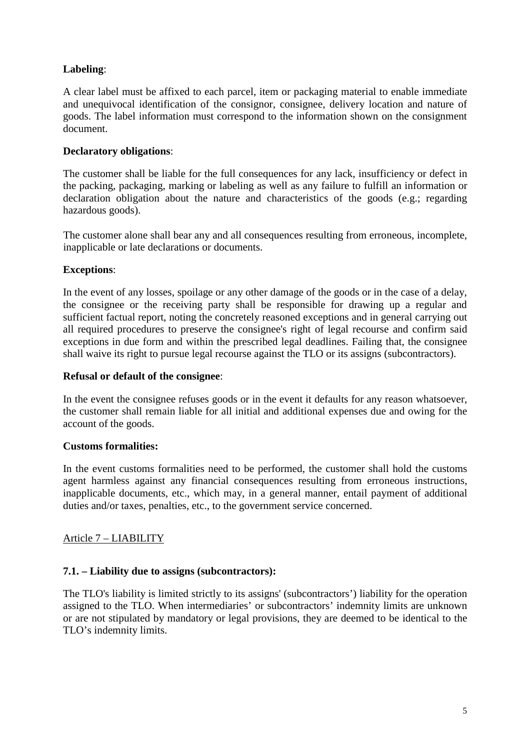## **Labeling**:

A clear label must be affixed to each parcel, item or packaging material to enable immediate and unequivocal identification of the consignor, consignee, delivery location and nature of goods. The label information must correspond to the information shown on the consignment document.

## **Declaratory obligations**:

The customer shall be liable for the full consequences for any lack, insufficiency or defect in the packing, packaging, marking or labeling as well as any failure to fulfill an information or declaration obligation about the nature and characteristics of the goods (e.g.; regarding hazardous goods).

The customer alone shall bear any and all consequences resulting from erroneous, incomplete, inapplicable or late declarations or documents.

### **Exceptions**:

In the event of any losses, spoilage or any other damage of the goods or in the case of a delay, the consignee or the receiving party shall be responsible for drawing up a regular and sufficient factual report, noting the concretely reasoned exceptions and in general carrying out all required procedures to preserve the consignee's right of legal recourse and confirm said exceptions in due form and within the prescribed legal deadlines. Failing that, the consignee shall waive its right to pursue legal recourse against the TLO or its assigns (subcontractors).

#### **Refusal or default of the consignee**:

In the event the consignee refuses goods or in the event it defaults for any reason whatsoever, the customer shall remain liable for all initial and additional expenses due and owing for the account of the goods.

### **Customs formalities:**

In the event customs formalities need to be performed, the customer shall hold the customs agent harmless against any financial consequences resulting from erroneous instructions, inapplicable documents, etc., which may, in a general manner, entail payment of additional duties and/or taxes, penalties, etc., to the government service concerned.

## Article 7 – LIABILITY

### **7.1. – Liability due to assigns (subcontractors):**

The TLO's liability is limited strictly to its assigns' (subcontractors') liability for the operation assigned to the TLO. When intermediaries' or subcontractors' indemnity limits are unknown or are not stipulated by mandatory or legal provisions, they are deemed to be identical to the TLO's indemnity limits.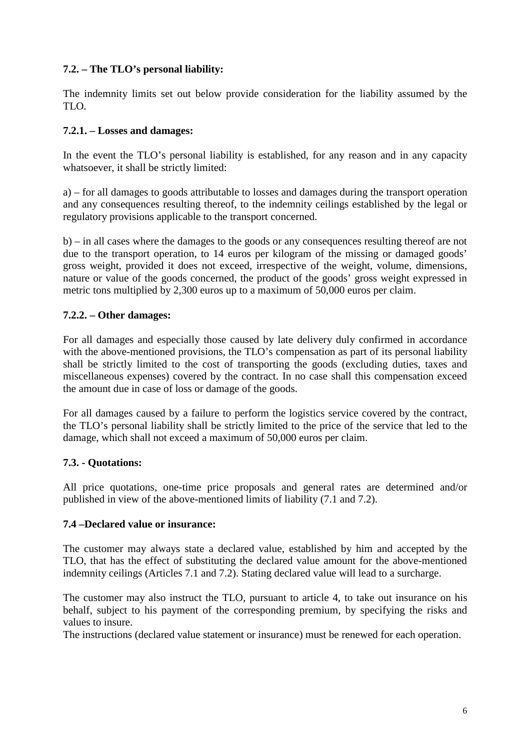## **7.2. – The TLO's personal liability:**

The indemnity limits set out below provide consideration for the liability assumed by the TLO.

#### **7.2.1. – Losses and damages:**

In the event the TLO's personal liability is established, for any reason and in any capacity whatsoever, it shall be strictly limited:

a) – for all damages to goods attributable to losses and damages during the transport operation and any consequences resulting thereof, to the indemnity ceilings established by the legal or regulatory provisions applicable to the transport concerned.

b) – in all cases where the damages to the goods or any consequences resulting thereof are not due to the transport operation, to 14 euros per kilogram of the missing or damaged goods' gross weight, provided it does not exceed, irrespective of the weight, volume, dimensions, nature or value of the goods concerned, the product of the goods' gross weight expressed in metric tons multiplied by 2,300 euros up to a maximum of 50,000 euros per claim.

#### **7.2.2. – Other damages:**

For all damages and especially those caused by late delivery duly confirmed in accordance with the above-mentioned provisions, the TLO's compensation as part of its personal liability shall be strictly limited to the cost of transporting the goods (excluding duties, taxes and miscellaneous expenses) covered by the contract. In no case shall this compensation exceed the amount due in case of loss or damage of the goods.

For all damages caused by a failure to perform the logistics service covered by the contract, the TLO's personal liability shall be strictly limited to the price of the service that led to the damage, which shall not exceed a maximum of 50,000 euros per claim.

### **7.3. - Quotations:**

All price quotations, one-time price proposals and general rates are determined and/or published in view of the above-mentioned limits of liability (7.1 and 7.2).

#### **7.4 –Declared value or insurance:**

The customer may always state a declared value, established by him and accepted by the TLO, that has the effect of substituting the declared value amount for the above-mentioned indemnity ceilings (Articles 7.1 and 7.2). Stating declared value will lead to a surcharge.

The customer may also instruct the TLO, pursuant to article 4, to take out insurance on his behalf, subject to his payment of the corresponding premium, by specifying the risks and values to insure.

The instructions (declared value statement or insurance) must be renewed for each operation.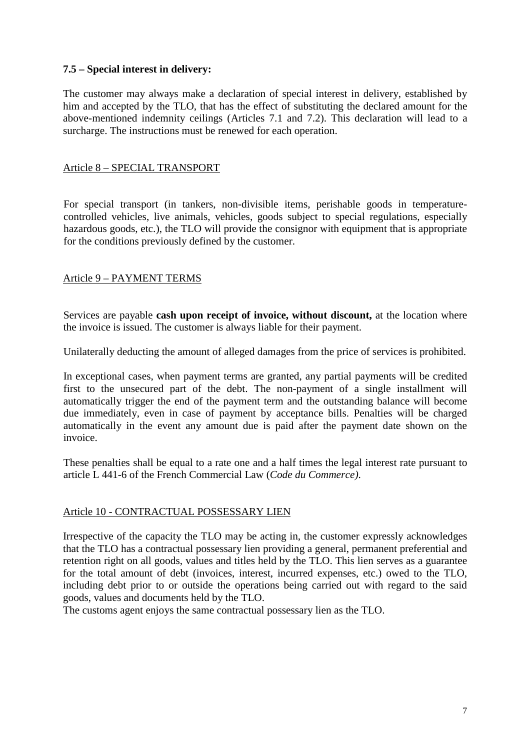### **7.5 – Special interest in delivery:**

The customer may always make a declaration of special interest in delivery, established by him and accepted by the TLO, that has the effect of substituting the declared amount for the above-mentioned indemnity ceilings (Articles 7.1 and 7.2). This declaration will lead to a surcharge. The instructions must be renewed for each operation.

#### Article 8 – SPECIAL TRANSPORT

For special transport (in tankers, non-divisible items, perishable goods in temperaturecontrolled vehicles, live animals, vehicles, goods subject to special regulations, especially hazardous goods, etc.), the TLO will provide the consignor with equipment that is appropriate for the conditions previously defined by the customer.

### Article 9 – PAYMENT TERMS

Services are payable **cash upon receipt of invoice, without discount,** at the location where the invoice is issued. The customer is always liable for their payment.

Unilaterally deducting the amount of alleged damages from the price of services is prohibited.

In exceptional cases, when payment terms are granted, any partial payments will be credited first to the unsecured part of the debt. The non-payment of a single installment will automatically trigger the end of the payment term and the outstanding balance will become due immediately, even in case of payment by acceptance bills. Penalties will be charged automatically in the event any amount due is paid after the payment date shown on the invoice.

These penalties shall be equal to a rate one and a half times the legal interest rate pursuant to article L 441-6 of the French Commercial Law (*Code du Commerce)*.

#### Article 10 - CONTRACTUAL POSSESSARY LIEN

Irrespective of the capacity the TLO may be acting in, the customer expressly acknowledges that the TLO has a contractual possessary lien providing a general, permanent preferential and retention right on all goods, values and titles held by the TLO. This lien serves as a guarantee for the total amount of debt (invoices, interest, incurred expenses, etc.) owed to the TLO, including debt prior to or outside the operations being carried out with regard to the said goods, values and documents held by the TLO.

The customs agent enjoys the same contractual possessary lien as the TLO.